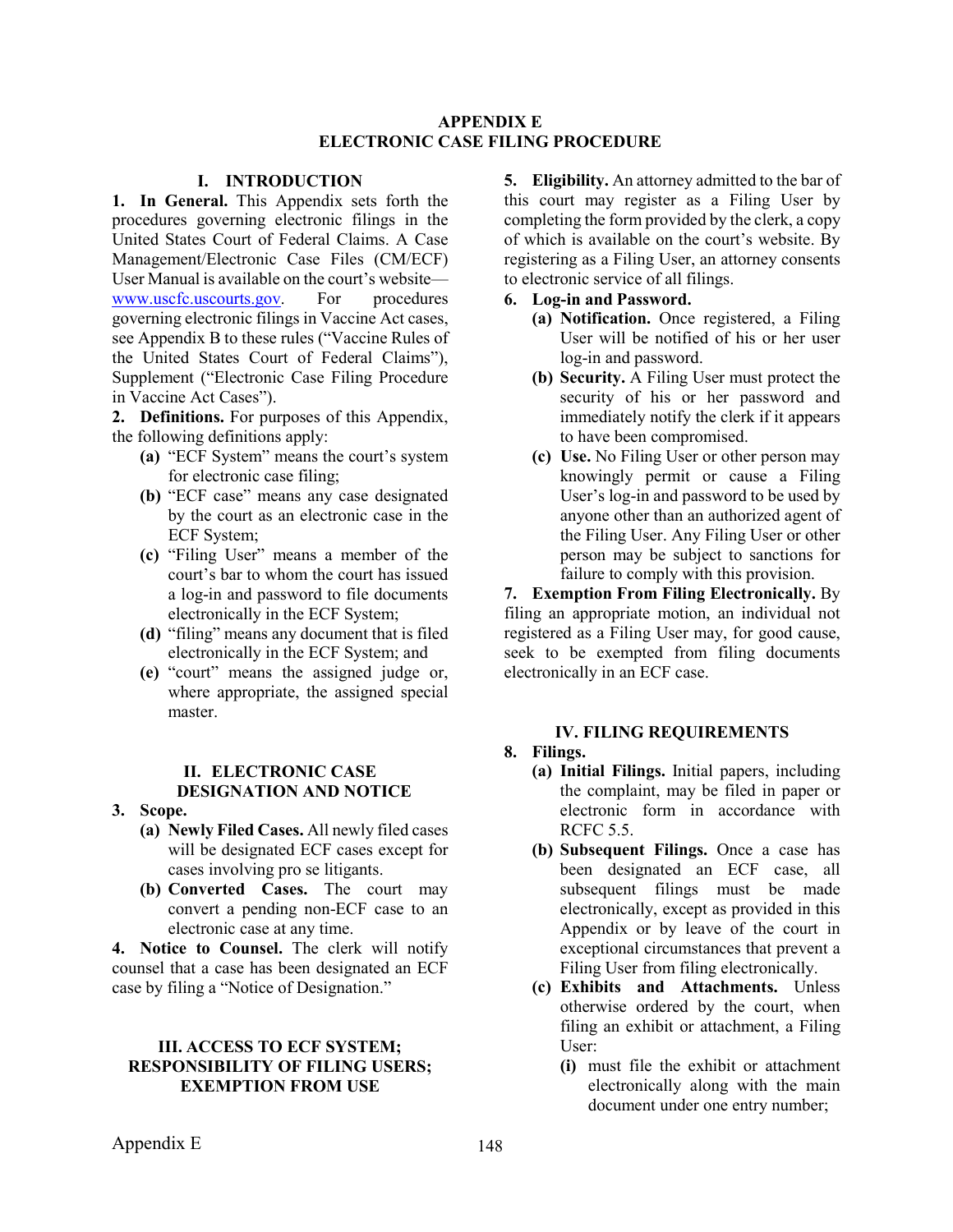#### **APPENDIX E ELECTRONIC CASE FILING PROCEDURE**

### **I. INTRODUCTION**

**1. In General.** This Appendix sets forth the procedures governing electronic filings in the United States Court of Federal Claims. A Case Management/Electronic Case Files (CM/ECF) User Manual is available on the court's website [www.uscfc.uscourts.gov.](file://Cofc.circfc.dcn/cfcshare/Shared/Managers/Management%20Analysts/Rules/UGH/www.uscfc.uscourts.gov) For procedures governing electronic filings in Vaccine Act cases, see Appendix B to these rules ("Vaccine Rules of the United States Court of Federal Claims"), Supplement ("Electronic Case Filing Procedure in Vaccine Act Cases").

**2. Definitions.** For purposes of this Appendix, the following definitions apply:

- **(a)** "ECF System" means the court's system for electronic case filing;
- **(b)** "ECF case" means any case designated by the court as an electronic case in the ECF System;
- **(c)** "Filing User" means a member of the court's bar to whom the court has issued a log-in and password to file documents electronically in the ECF System;
- **(d)** "filing" means any document that is filed electronically in the ECF System; and
- **(e)** "court" means the assigned judge or, where appropriate, the assigned special master.

#### **II. ELECTRONIC CASE DESIGNATION AND NOTICE**

- **3. Scope.**
	- **(a) Newly Filed Cases.** All newly filed cases will be designated ECF cases except for cases involving pro se litigants.
	- **(b) Converted Cases.** The court may convert a pending non-ECF case to an electronic case at any time.

**4. Notice to Counsel.** The clerk will notify counsel that a case has been designated an ECF case by filing a "Notice of Designation."

### **III. ACCESS TO ECF SYSTEM; RESPONSIBILITY OF FILING USERS; EXEMPTION FROM USE**

**5. Eligibility.** An attorney admitted to the bar of this court may register as a Filing User by completing the form provided by the clerk, a copy of which is available on the court's website. By registering as a Filing User, an attorney consents to electronic service of all filings.

### **6. Log-in and Password.**

- **(a) Notification.** Once registered, a Filing User will be notified of his or her user log-in and password.
- **(b) Security.** A Filing User must protect the security of his or her password and immediately notify the clerk if it appears to have been compromised.
- **(c) Use.** No Filing User or other person may knowingly permit or cause a Filing User's log-in and password to be used by anyone other than an authorized agent of the Filing User. Any Filing User or other person may be subject to sanctions for failure to comply with this provision.

**7. Exemption From Filing Electronically.** By filing an appropriate motion, an individual not registered as a Filing User may, for good cause, seek to be exempted from filing documents electronically in an ECF case.

### **IV. FILING REQUIREMENTS**

### **8. Filings.**

- **(a) Initial Filings.** Initial papers, including the complaint, may be filed in paper or electronic form in accordance with RCFC 5.5.
- **(b) Subsequent Filings.** Once a case has been designated an ECF case, all subsequent filings must be made electronically, except as provided in this Appendix or by leave of the court in exceptional circumstances that prevent a Filing User from filing electronically.
- **(c) Exhibits and Attachments.** Unless otherwise ordered by the court, when filing an exhibit or attachment, a Filing User:
	- **(i)** must file the exhibit or attachment electronically along with the main document under one entry number;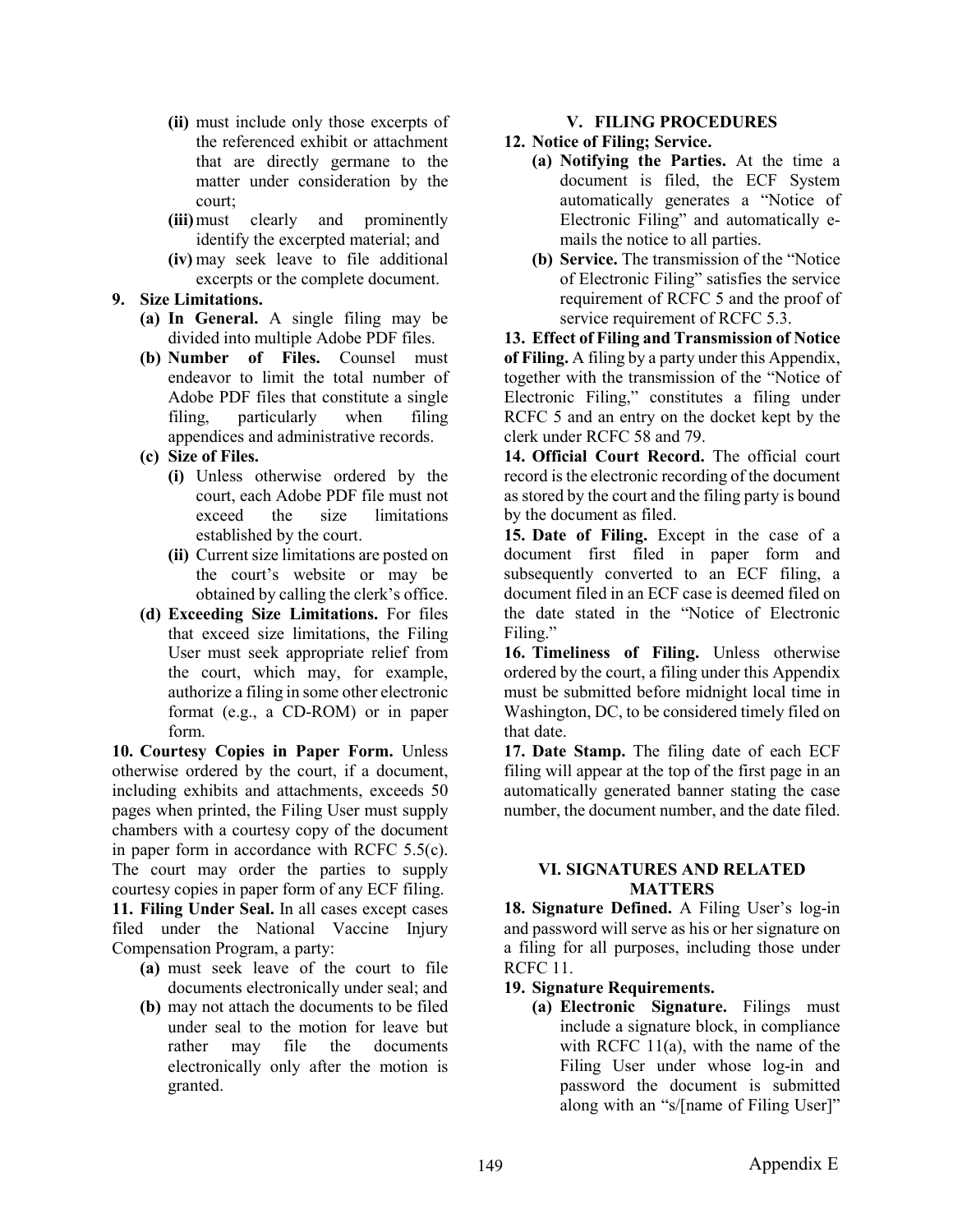- **(ii)** must include only those excerpts of the referenced exhibit or attachment that are directly germane to the matter under consideration by the court;
- **(iii)**must clearly and prominently identify the excerpted material; and
- **(iv)** may seek leave to file additional excerpts or the complete document.

### **9. Size Limitations.**

- **(a) In General.** A single filing may be divided into multiple Adobe PDF files.
- **(b) Number of Files.** Counsel must endeavor to limit the total number of Adobe PDF files that constitute a single filing, particularly when filing appendices and administrative records.
- **(c) Size of Files.**
	- **(i)** Unless otherwise ordered by the court, each Adobe PDF file must not exceed the size limitations established by the court.
	- **(ii)** Current size limitations are posted on the court's website or may be obtained by calling the clerk's office.
- **(d) Exceeding Size Limitations.** For files that exceed size limitations, the Filing User must seek appropriate relief from the court, which may, for example, authorize a filing in some other electronic format (e.g., a CD-ROM) or in paper form.

**10. Courtesy Copies in Paper Form.** Unless otherwise ordered by the court, if a document, including exhibits and attachments, exceeds 50 pages when printed, the Filing User must supply chambers with a courtesy copy of the document in paper form in accordance with RCFC 5.5(c). The court may order the parties to supply courtesy copies in paper form of any ECF filing. **11. Filing Under Seal.** In all cases except cases filed under the National Vaccine Injury Compensation Program, a party:

- **(a)** must seek leave of the court to file documents electronically under seal; and
- **(b)** may not attach the documents to be filed under seal to the motion for leave but rather may file the documents electronically only after the motion is granted.

## **V. FILING PROCEDURES**

# **12. Notice of Filing; Service.**

- **(a) Notifying the Parties.** At the time a document is filed, the ECF System automatically generates a "Notice of Electronic Filing" and automatically emails the notice to all parties.
- **(b) Service.** The transmission of the "Notice of Electronic Filing" satisfies the service requirement of RCFC 5 and the proof of service requirement of RCFC 5.3.

**13. Effect of Filing and Transmission of Notice of Filing.** A filing by a party under this Appendix, together with the transmission of the "Notice of Electronic Filing," constitutes a filing under RCFC 5 and an entry on the docket kept by the clerk under RCFC 58 and 79.

**14. Official Court Record.** The official court record is the electronic recording of the document as stored by the court and the filing party is bound by the document as filed.

**15. Date of Filing.** Except in the case of a document first filed in paper form and subsequently converted to an ECF filing, a document filed in an ECF case is deemed filed on the date stated in the "Notice of Electronic Filing."

**16. Timeliness of Filing.** Unless otherwise ordered by the court, a filing under this Appendix must be submitted before midnight local time in Washington, DC, to be considered timely filed on that date.

**17. Date Stamp.** The filing date of each ECF filing will appear at the top of the first page in an automatically generated banner stating the case number, the document number, and the date filed.

### **VI. SIGNATURES AND RELATED MATTERS**

**18. Signature Defined.** A Filing User's log-in and password will serve as his or her signature on a filing for all purposes, including those under RCFC 11.

- **19. Signature Requirements.**
	- **(a) Electronic Signature.** Filings must include a signature block, in compliance with RCFC 11(a), with the name of the Filing User under whose log-in and password the document is submitted along with an "s/[name of Filing User]"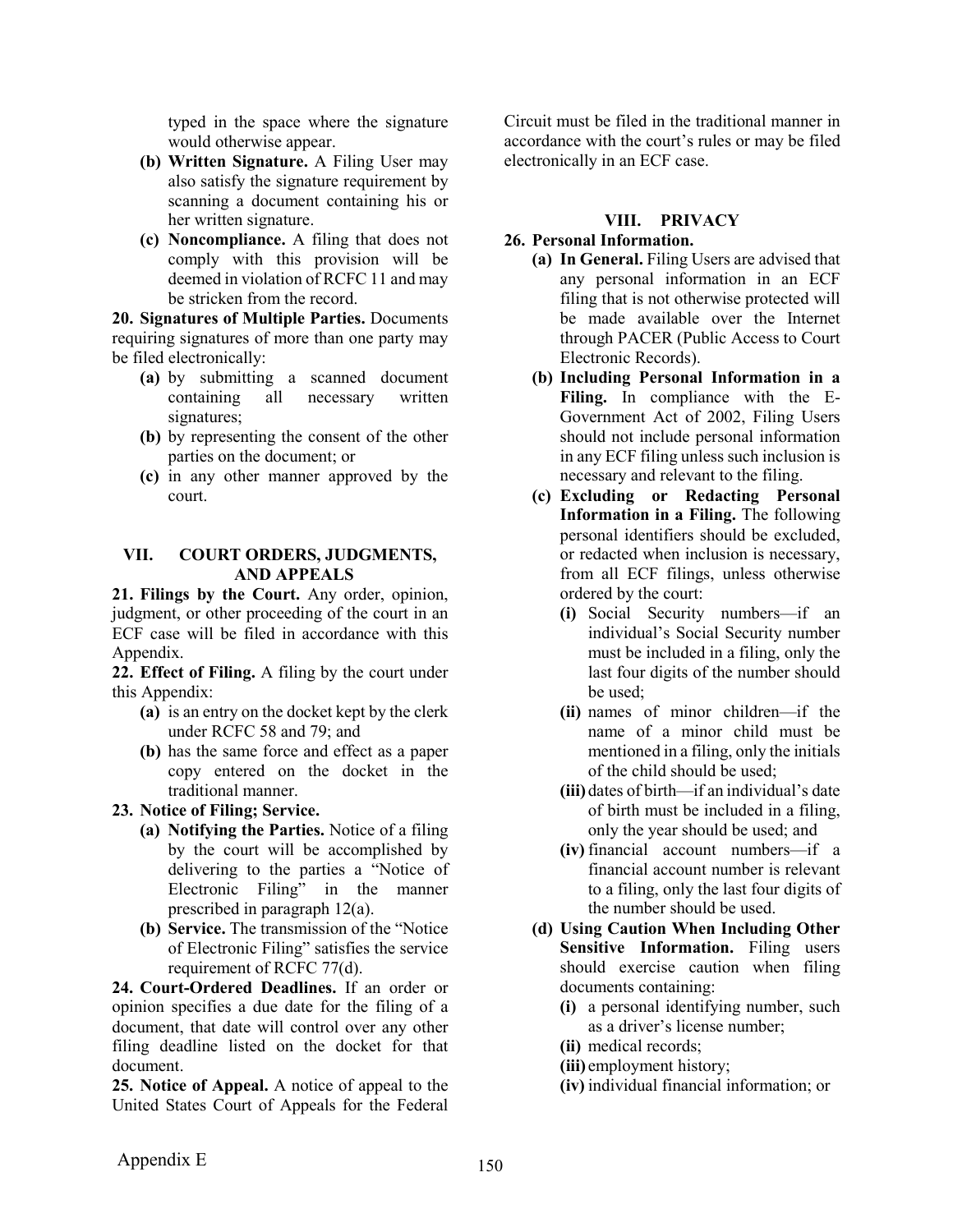typed in the space where the signature would otherwise appear.

- **(b) Written Signature.** A Filing User may also satisfy the signature requirement by scanning a document containing his or her written signature.
- **(c) Noncompliance.** A filing that does not comply with this provision will be deemed in violation of RCFC 11 and may be stricken from the record.

**20. Signatures of Multiple Parties.** Documents requiring signatures of more than one party may be filed electronically:

- **(a)** by submitting a scanned document containing all necessary written signatures;
- **(b)** by representing the consent of the other parties on the document; or
- **(c)** in any other manner approved by the court.

#### **VII. COURT ORDERS, JUDGMENTS, AND APPEALS**

**21. Filings by the Court.** Any order, opinion, judgment, or other proceeding of the court in an ECF case will be filed in accordance with this Appendix.

**22. Effect of Filing.** A filing by the court under this Appendix:

- **(a)** is an entry on the docket kept by the clerk under RCFC 58 and 79; and
- **(b)** has the same force and effect as a paper copy entered on the docket in the traditional manner.
- **23. Notice of Filing; Service.**
	- **(a) Notifying the Parties.** Notice of a filing by the court will be accomplished by delivering to the parties a "Notice of Electronic Filing" in the manner prescribed in paragraph 12(a).
	- **(b) Service.** The transmission of the "Notice of Electronic Filing" satisfies the service requirement of RCFC 77(d).

**24. Court-Ordered Deadlines.** If an order or opinion specifies a due date for the filing of a document, that date will control over any other filing deadline listed on the docket for that document.

**25. Notice of Appeal.** A notice of appeal to the United States Court of Appeals for the Federal Circuit must be filed in the traditional manner in accordance with the court's rules or may be filed electronically in an ECF case.

### **VIII. PRIVACY**

### **26. Personal Information.**

- **(a) In General.** Filing Users are advised that any personal information in an ECF filing that is not otherwise protected will be made available over the Internet through PACER (Public Access to Court Electronic Records).
- **(b) Including Personal Information in a Filing.** In compliance with the E-Government Act of 2002, Filing Users should not include personal information in any ECF filing unless such inclusion is necessary and relevant to the filing.
- **(c) Excluding or Redacting Personal Information in a Filing.** The following personal identifiers should be excluded, or redacted when inclusion is necessary, from all ECF filings, unless otherwise ordered by the court:
	- **(i)** Social Security numbers—if an individual's Social Security number must be included in a filing, only the last four digits of the number should be used;
	- **(ii)** names of minor children—if the name of a minor child must be mentioned in a filing, only the initials of the child should be used;
	- **(iii)** dates of birth—if an individual's date of birth must be included in a filing, only the year should be used; and
	- **(iv)** financial account numbers—if a financial account number is relevant to a filing, only the last four digits of the number should be used.
- **(d) Using Caution When Including Other Sensitive Information.** Filing users should exercise caution when filing documents containing:
	- **(i)** a personal identifying number, such as a driver's license number;
	- **(ii)** medical records;
	- **(iii)** employment history;
	- **(iv)** individual financial information; or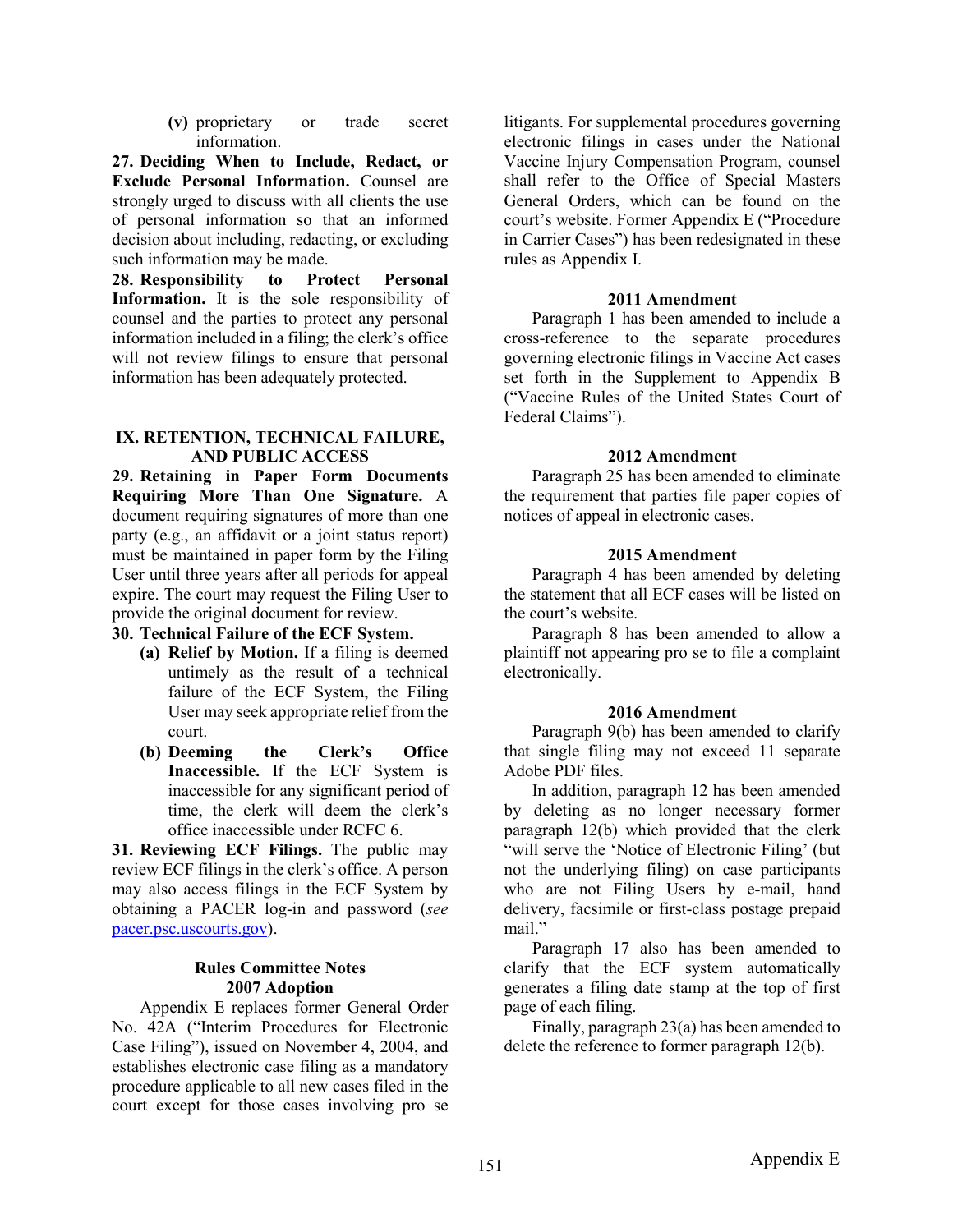**(v)** proprietary or trade secret information.

**27. Deciding When to Include, Redact, or Exclude Personal Information.** Counsel are strongly urged to discuss with all clients the use of personal information so that an informed decision about including, redacting, or excluding such information may be made.

**28. Responsibility to Protect Personal Information.** It is the sole responsibility of counsel and the parties to protect any personal information included in a filing; the clerk's office will not review filings to ensure that personal information has been adequately protected.

#### **IX. RETENTION, TECHNICAL FAILURE, AND PUBLIC ACCESS**

**29. Retaining in Paper Form Documents Requiring More Than One Signature.** A document requiring signatures of more than one party (e.g., an affidavit or a joint status report) must be maintained in paper form by the Filing User until three years after all periods for appeal expire. The court may request the Filing User to provide the original document for review.

# **30. Technical Failure of the ECF System.**

- **(a) Relief by Motion.** If a filing is deemed untimely as the result of a technical failure of the ECF System, the Filing User may seek appropriate relief from the court.
- **(b) Deeming the Clerk's Office Inaccessible.** If the ECF System is inaccessible for any significant period of time, the clerk will deem the clerk's office inaccessible under RCFC 6.

**31. Reviewing ECF Filings.** The public may review ECF filings in the clerk's office. A person may also access filings in the ECF System by obtaining a PACER log-in and password (*see* [pacer.psc.uscourts.gov\)](https://www.pacer.gov/).

### **Rules Committee Notes 2007 Adoption**

Appendix E replaces former General Order No. 42A ("Interim Procedures for Electronic Case Filing"), issued on November 4, 2004, and establishes electronic case filing as a mandatory procedure applicable to all new cases filed in the court except for those cases involving pro se

litigants. For supplemental procedures governing electronic filings in cases under the National Vaccine Injury Compensation Program, counsel shall refer to the Office of Special Masters General Orders, which can be found on the court's website. Former Appendix E ("Procedure in Carrier Cases") has been redesignated in these rules as Appendix I.

### **2011 Amendment**

Paragraph 1 has been amended to include a cross-reference to the separate procedures governing electronic filings in Vaccine Act cases set forth in the Supplement to Appendix B ("Vaccine Rules of the United States Court of Federal Claims").

### **2012 Amendment**

Paragraph 25 has been amended to eliminate the requirement that parties file paper copies of notices of appeal in electronic cases.

### **2015 Amendment**

Paragraph 4 has been amended by deleting the statement that all ECF cases will be listed on the court's website.

Paragraph 8 has been amended to allow a plaintiff not appearing pro se to file a complaint electronically.

### **2016 Amendment**

Paragraph 9(b) has been amended to clarify that single filing may not exceed 11 separate Adobe PDF files.

In addition, paragraph 12 has been amended by deleting as no longer necessary former paragraph 12(b) which provided that the clerk "will serve the 'Notice of Electronic Filing' (but not the underlying filing) on case participants who are not Filing Users by e-mail, hand delivery, facsimile or first-class postage prepaid mail."

Paragraph 17 also has been amended to clarify that the ECF system automatically generates a filing date stamp at the top of first page of each filing.

Finally, paragraph 23(a) has been amended to delete the reference to former paragraph 12(b).